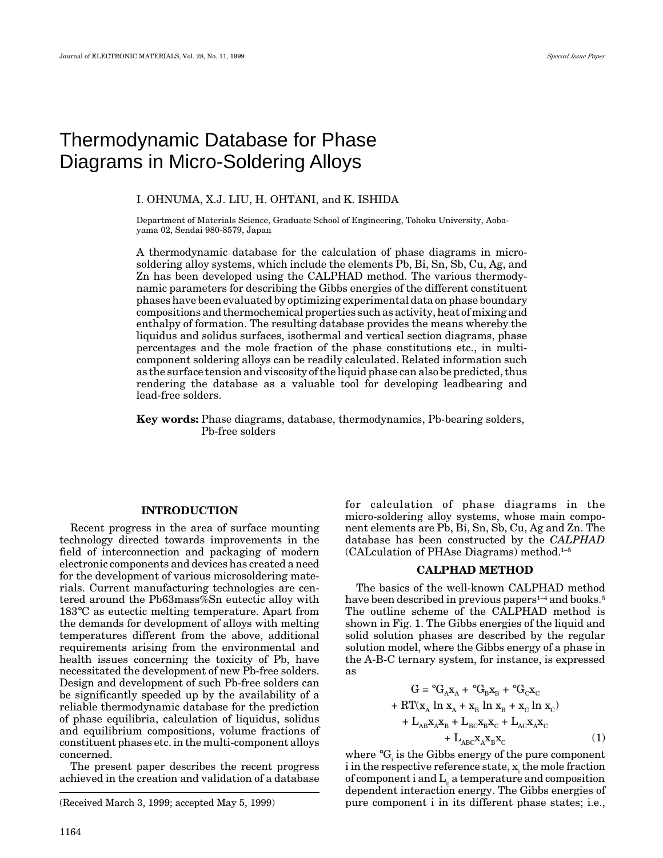# Thermodynamic Database for Phase Diagrams in Micro-Soldering Alloys

#### I. OHNUMA, X.J. LIU, H. OHTANI, and K. ISHIDA

Department of Materials Science, Graduate School of Engineering, Tohoku University, Aobayama 02, Sendai 980-8579, Japan

A thermodynamic database for the calculation of phase diagrams in microsoldering alloy systems, which include the elements Pb, Bi, Sn, Sb, Cu, Ag, and Zn has been developed using the CALPHAD method. The various thermodynamic parameters for describing the Gibbs energies of the different constituent phases have been evaluated by optimizing experimental data on phase boundary compositions and thermochemical properties such as activity, heat of mixing and enthalpy of formation. The resulting database provides the means whereby the liquidus and solidus surfaces, isothermal and vertical section diagrams, phase percentages and the mole fraction of the phase constitutions etc., in multicomponent soldering alloys can be readily calculated. Related information such as the surface tension and viscosity of the liquid phase can also be predicted, thus rendering the database as a valuable tool for developing leadbearing and lead-free solders.

**Key words:** Phase diagrams, database, thermodynamics, Pb-bearing solders, Pb-free solders

#### **INTRODUCTION**

Recent progress in the area of surface mounting technology directed towards improvements in the field of interconnection and packaging of modern electronic components and devices has created a need for the development of various microsoldering materials. Current manufacturing technologies are centered around the Pb63mass%Sn eutectic alloy with 183°C as eutectic melting temperature. Apart from the demands for development of alloys with melting temperatures different from the above, additional requirements arising from the environmental and health issues concerning the toxicity of Pb, have necessitated the development of new Pb-free solders. Design and development of such Pb-free solders can be significantly speeded up by the availability of a reliable thermodynamic database for the prediction of phase equilibria, calculation of liquidus, solidus and equilibrium compositions, volume fractions of constituent phases etc. in the multi-component alloys concerned.

The present paper describes the recent progress achieved in the creation and validation of a database

(Received March 3, 1999; accepted May 5, 1999)

for calculation of phase diagrams in the micro-soldering alloy systems, whose main component elements are Pb, Bi, Sn, Sb, Cu, Ag and Zn. The database has been constructed by the *CALPHAD* (CALculation of PHAse Diagrams) method.1–5

#### **CALPHAD METHOD**

The basics of the well-known CALPHAD method have been described in previous papers<sup>1-4</sup> and books.<sup>5</sup> The outline scheme of the CALPHAD method is shown in Fig. 1. The Gibbs energies of the liquid and solid solution phases are described by the regular solution model, where the Gibbs energy of a phase in the A-B-C ternary system, for instance, is expressed as

$$
G = {}^{\circ}G_A x_A + {}^{\circ}G_B x_B + {}^{\circ}G_C x_C
$$
  
+ RT(x<sub>A</sub> ln x<sub>A</sub> + x<sub>B</sub> ln x<sub>B</sub> + x<sub>C</sub> ln x<sub>C</sub>)  
+ L<sub>AB</sub>x<sub>A</sub>x<sub>B</sub> + L<sub>BC</sub>x<sub>B</sub>x<sub>C</sub> + L<sub>AC</sub>x<sub>A</sub>x<sub>C</sub>  
+ L<sub>ABC</sub>x<sub>A</sub>x<sub>B</sub>x<sub>C</sub> (1)

where  ${ }^\circ \mathrm{G}_{\mathrm{i}}$  is the Gibbs energy of the pure component  $i$  in the respective reference state,  $x_i$  the mole fraction of component i and  $L_{ii}$  a temperature and composition dependent interaction energy. The Gibbs energies of pure component i in its different phase states; i.e.,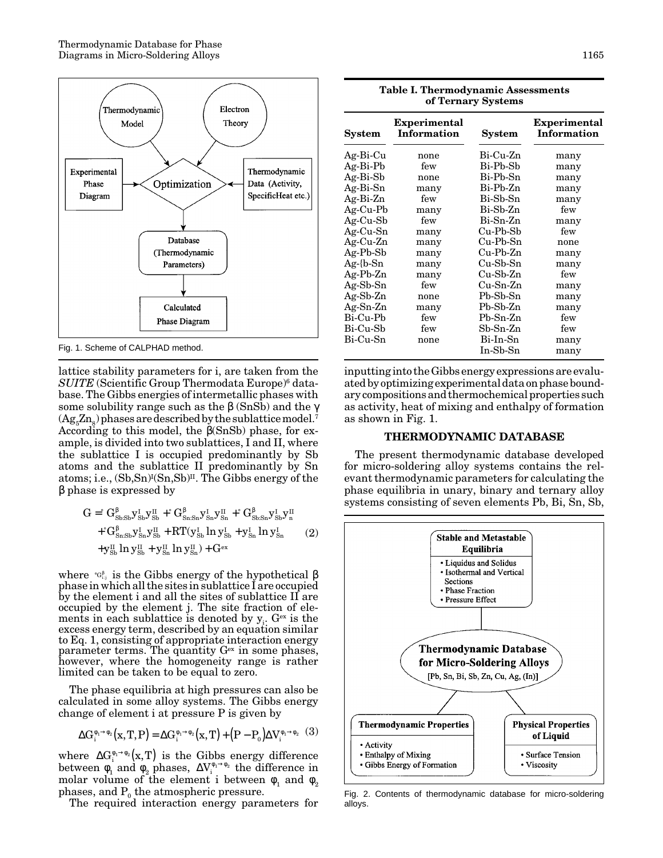

Fig. 1. Scheme of CALPHAD method.

lattice stability parameters for i, are taken from the *SUITE* (Scientific Group Thermodata Europe)<sup>6</sup> database. The Gibbs energies of intermetallic phases with some solubility range such as the  $\beta$  (SnSb) and the  $\gamma$  $(Ag<sub>5</sub>Zn<sub>s</sub>)$  phases are described by the sublattice model.<sup>7</sup> According to this model, the β(SnSb) phase, for example, is divided into two sublattices, I and II, where the sublattice I is occupied predominantly by Sb atoms and the sublattice II predominantly by Sn atoms; i.e.,  $({\rm Sb,Sn})^{\rm I}({\rm Sn, Sb})^{\rm II}$ . The Gibbs energy of the β phase is expressed by

$$
G = {}^{c}G_{\text{Sb:Sh}}^{β}y_{sb}^{I}y_{sb}^{II} + {}^{c}G_{\text{Sn:Sn}}^{β}y_{sh}^{I}y_{sh}^{II} + {}^{c}G_{\text{Sb:Sn}}^{β}y_{sb}^{I}y_{h}^{II} + {}^{c}G_{\text{Sn:Sh}}^{β}y_{sb}^{I}y_{sb}^{II} + RT(y_{sb}^{I} \ln y_{sb}^{I} + y_{sh}^{I} \ln y_{sh}^{I}) + y_{sb}^{II} \ln y_{sb}^{II} + y_{sh}^{II} \ln y_{sh}^{II}) + G^{ex}
$$
(2)

where  $\mathcal{P}_{\text{G}_{ij}}$  is the Gibbs energy of the hypothetical  $\beta$ phase in which all the sites in sublattice I are occupied by the element i and all the sites of sublattice II are occupied by the element j. The site fraction of elements in each sublattice is denoted by  $y_i$ .  $G<sup>ex</sup>$  is the excess energy term, described by an equation similar to Eq. 1, consisting of appropriate interaction energy parameter terms. The quantity  $G<sup>ex</sup>$  in some phases, however, where the homogeneity range is rather limited can be taken to be equal to zero.

The phase equilibria at high pressures can also be calculated in some alloy systems. The Gibbs energy change of element i at pressure P is given by

$$
\Delta G_i^{\phi_1 \to \phi_2}(\mathbf{x}, \mathbf{T}, \mathbf{P}) = \Delta G_i^{\phi_1 \to \phi_2}(\mathbf{x}, \mathbf{T}) + \left(\mathbf{P} - \mathbf{P}_0\right) \Delta V_i^{\phi_1 \to \phi_2} \tag{3}
$$

where  $\Delta G_i^{\phi_1 \to \phi_2} (x, T)$  is the Gibbs energy difference between  $\phi_1$  and  $\phi_2$  phases,  $\Delta V_i^{\phi_1 \to \phi_2}$  the difference in molar volume of the element i between  $\phi_1$  and  $\phi_2$ phases, and  $P_0$  the atmospheric pressure.

The required interaction energy parameters for

| <b>Table I. Thermodynamic Assessments</b><br>of Ternary Systems                                                                                                                         |                                                                                                          |                                                                                                                                                                              |                                                                                                           |
|-----------------------------------------------------------------------------------------------------------------------------------------------------------------------------------------|----------------------------------------------------------------------------------------------------------|------------------------------------------------------------------------------------------------------------------------------------------------------------------------------|-----------------------------------------------------------------------------------------------------------|
| System                                                                                                                                                                                  | <b>Experimental</b><br><b>Information</b>                                                                | System                                                                                                                                                                       | <b>Experimental</b><br>Information                                                                        |
| Ag-Bi-Cu<br>$Ag-Bi-Pb$<br>$Ag-Bi-Sb$<br>Ag-Bi-Sn<br>Ag-Bi-Zn<br>$Ag-Cu-Pb$<br>$Ag-Cu-Sb$<br>$Ag-Cu-Sn$<br>Ag-Cu-Zn<br>$Ag-Pb-Sb$<br>$Ag$ -{b-Sn<br>$Ag-Pb-Zn$<br>$Ag-Sb-Sn$<br>Ag-Sb-Zn | none<br>few<br>none<br>many<br>few<br>many<br>few<br>many<br>many<br>many<br>many<br>many<br>few<br>none | Bi-Cu-Zn<br>Bi-Pb-Sb<br>Bi-Pb-Sn<br>Bi-Pb-Zn<br>Bi-Sb-Sn<br>Bi-Sb-Zn<br>Bi-Sn-Zn<br>$Cu-Pb-Sb$<br>$Cu-Pb-Sn$<br>$Cu-Pb-Zn$<br>$Cu-Sb-Sn$<br>Cu-Sb-Zn<br>Cu-Sn-Zn<br>Pb-Sb-Sn | many<br>many<br>many<br>many<br>many<br>few<br>many<br>few<br>none<br>many<br>many<br>few<br>many<br>many |
| $Ag-Sn-Zn$<br>Bi-Cu-Pb<br>Bi-Cu-Sb<br>Bi-Cu-Sn                                                                                                                                          | many<br>few<br>few<br>none                                                                               | $Pb-Sb-Zn$<br>$Pb-Sn-Zn$<br>$Sb-Sn-Zn$<br>Bi-In-Sn<br>In-Sb-Sn                                                                                                               | many<br>few<br>few<br>many<br>many                                                                        |

inputting into the Gibbs energy expressions are evaluated by optimizing experimental data on phase boundary compositions and thermochemical properties such as activity, heat of mixing and enthalpy of formation as shown in Fig. 1.

#### **THERMODYNAMIC DATABASE**

The present thermodynamic database developed for micro-soldering alloy systems contains the relevant thermodynamic parameters for calculating the phase equilibria in unary, binary and ternary alloy systems consisting of seven elements Pb, Bi, Sn, Sb,



Fig. 2. Contents of thermodynamic database for micro-soldering alloys.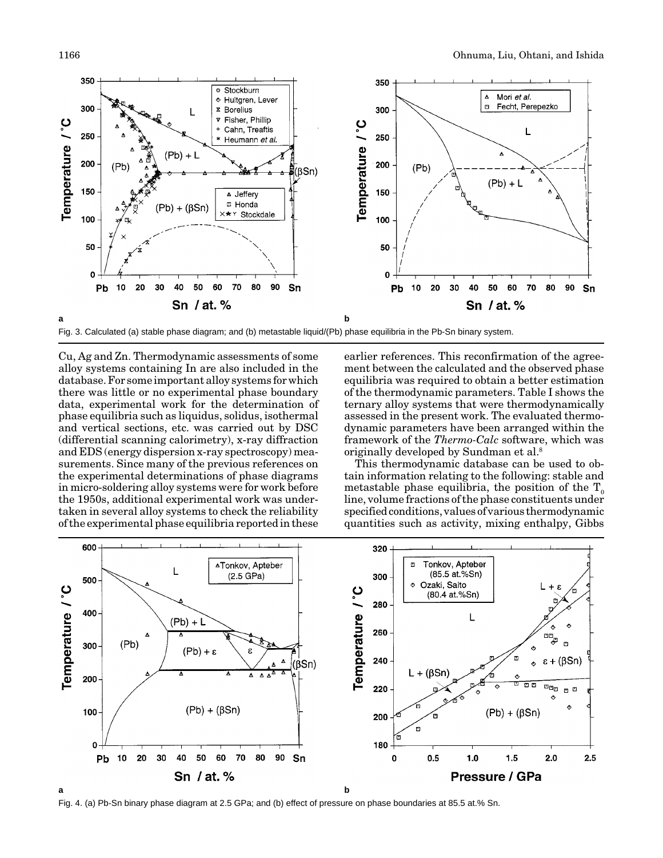

Fig. 3. Calculated (a) stable phase diagram; and (b) metastable liquid/(Pb) phase equilibria in the Pb-Sn binary system.

Cu, Ag and Zn. Thermodynamic assessments of some alloy systems containing In are also included in the database. For some important alloy systems for which there was little or no experimental phase boundary data, experimental work for the determination of phase equilibria such as liquidus, solidus, isothermal and vertical sections, etc. was carried out by DSC (differential scanning calorimetry), x-ray diffraction and EDS (energy dispersion x-ray spectroscopy) measurements. Since many of the previous references on the experimental determinations of phase diagrams in micro-soldering alloy systems were for work before the 1950s, additional experimental work was undertaken in several alloy systems to check the reliability of the experimental phase equilibria reported in these

earlier references. This reconfirmation of the agreement between the calculated and the observed phase equilibria was required to obtain a better estimation of the thermodynamic parameters. Table I shows the ternary alloy systems that were thermodynamically assessed in the present work. The evaluated thermodynamic parameters have been arranged within the framework of the *Thermo-Calc* software, which was originally developed by Sundman et al.8

This thermodynamic database can be used to obtain information relating to the following: stable and metastable phase equilibria, the position of the  $T_0$ line, volume fractions of the phase constituents under specified conditions, values of various thermodynamic quantities such as activity, mixing enthalpy, Gibbs



Fig. 4. (a) Pb-Sn binary phase diagram at 2.5 GPa; and (b) effect of pressure on phase boundaries at 85.5 at.% Sn.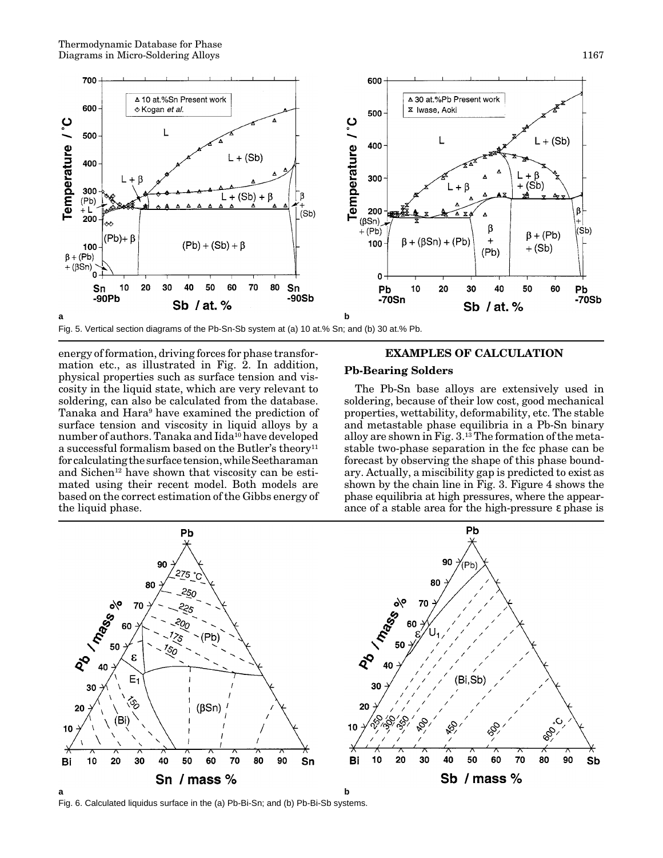

Fig. 5. Vertical section diagrams of the Pb-Sn-Sb system at (a) 10 at.% Sn; and (b) 30 at.% Pb.

energy of formation, driving forces for phase transformation etc., as illustrated in Fig. 2. In addition, physical properties such as surface tension and viscosity in the liquid state, which are very relevant to soldering, can also be calculated from the database. Tanaka and Hara9 have examined the prediction of surface tension and viscosity in liquid alloys by a number of authors. Tanaka and Iida<sup>10</sup> have developed a successful formalism based on the Butler's theory<sup>11</sup> for calculating the surface tension, while Seetharaman and Sichen<sup>12</sup> have shown that viscosity can be estimated using their recent model. Both models are based on the correct estimation of the Gibbs energy of the liquid phase.

# **EXAMPLES OF CALCULATION**

#### **Pb-Bearing Solders**

The Pb-Sn base alloys are extensively used in soldering, because of their low cost, good mechanical properties, wettability, deformability, etc. The stable and metastable phase equilibria in a Pb-Sn binary alloy are shown in Fig.  $3^{13}$  The formation of the metastable two-phase separation in the fcc phase can be forecast by observing the shape of this phase boundary. Actually, a miscibility gap is predicted to exist as shown by the chain line in Fig. 3. Figure 4 shows the phase equilibria at high pressures, where the appearance of a stable area for the high-pressure ε phase is



Fig. 6. Calculated liquidus surface in the (a) Pb-Bi-Sn; and (b) Pb-Bi-Sb systems.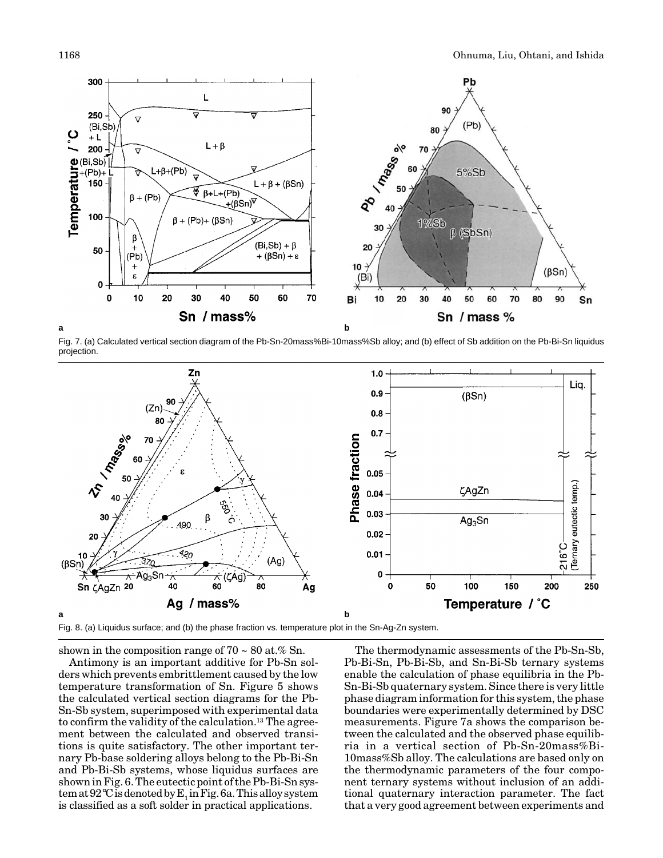

Fig. 7. (a) Calculated vertical section diagram of the Pb-Sn-20mass%Bi-10mass%Sb alloy; and (b) effect of Sb addition on the Pb-Bi-Sn liquidus projection.



shown in the composition range of  $70 \sim 80$  at.% Sn.

Antimony is an important additive for Pb-Sn solders which prevents embrittlement caused by the low temperature transformation of Sn. Figure 5 shows the calculated vertical section diagrams for the Pb-Sn-Sb system, superimposed with experimental data to confirm the validity of the calculation.13 The agreement between the calculated and observed transitions is quite satisfactory. The other important ternary Pb-base soldering alloys belong to the Pb-Bi-Sn and Pb-Bi-Sb systems, whose liquidus surfaces are shown in Fig. 6. The eutectic point of the Pb-Bi-Sn system at  $92^{\circ}$ C is denoted by E<sub>1</sub> in Fig. 6a. This alloy system is classified as a soft solder in practical applications.

The thermodynamic assessments of the Pb-Sn-Sb, Pb-Bi-Sn, Pb-Bi-Sb, and Sn-Bi-Sb ternary systems enable the calculation of phase equilibria in the Pb-Sn-Bi-Sb quaternary system. Since there is very little phase diagram information for this system, the phase boundaries were experimentally determined by DSC measurements. Figure 7a shows the comparison between the calculated and the observed phase equilibria in a vertical section of Pb-Sn-20mass%Bi-10mass%Sb alloy. The calculations are based only on the thermodynamic parameters of the four component ternary systems without inclusion of an additional quaternary interaction parameter. The fact that a very good agreement between experiments and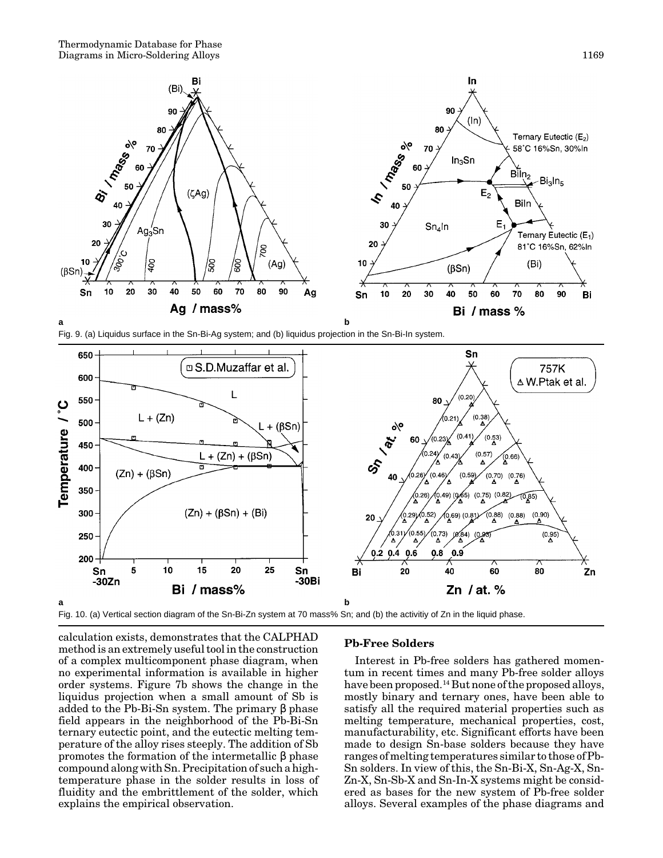





Fig. 10. (a) Vertical section diagram of the Sn-Bi-Zn system at 70 mass% Sn; and (b) the activitiy of Zn in the liquid phase.

calculation exists, demonstrates that the CALPHAD method is an extremely useful tool in the construction of a complex multicomponent phase diagram, when no experimental information is available in higher order systems. Figure 7b shows the change in the liquidus projection when a small amount of Sb is added to the Pb-Bi-Sn system. The primary β phase field appears in the neighborhood of the Pb-Bi-Sn ternary eutectic point, and the eutectic melting temperature of the alloy rises steeply. The addition of Sb promotes the formation of the intermetallic β phase compound along with Sn. Precipitation of such a hightemperature phase in the solder results in loss of fluidity and the embrittlement of the solder, which explains the empirical observation.

### **Pb-Free Solders**

Interest in Pb-free solders has gathered momentum in recent times and many Pb-free solder alloys have been proposed.<sup>14</sup> But none of the proposed alloys, mostly binary and ternary ones, have been able to satisfy all the required material properties such as melting temperature, mechanical properties, cost, manufacturability, etc. Significant efforts have been made to design Sn-base solders because they have ranges of melting temperatures similar to those of Pb-Sn solders. In view of this, the Sn-Bi-X, Sn-Ag-X, Sn-Zn-X, Sn-Sb-X and Sn-In-X systems might be considered as bases for the new system of Pb-free solder alloys. Several examples of the phase diagrams and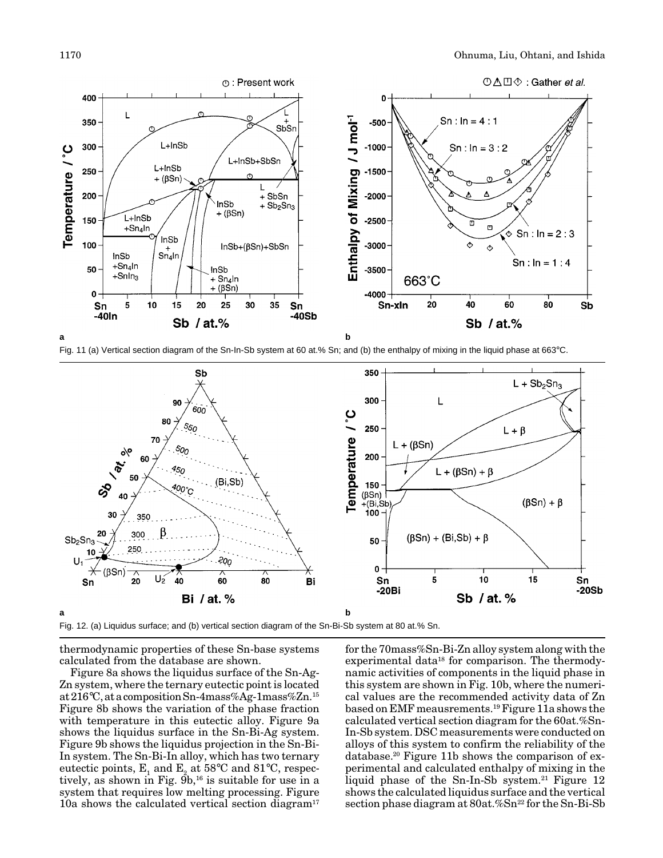

Fig. 11 (a) Vertical section diagram of the Sn-In-Sb system at 60 at.% Sn; and (b) the enthalpy of mixing in the liquid phase at 663°C.



Fig. 12. (a) Liquidus surface; and (b) vertical section diagram of the Sn-Bi-Sb system at 80 at.% Sn.

thermodynamic properties of these Sn-base systems calculated from the database are shown.

Figure 8a shows the liquidus surface of the Sn-Ag-Zn system, where the ternary eutectic point is located at 216°C, at a composition Sn-4mass%Ag-1mass%Zn.15 Figure 8b shows the variation of the phase fraction with temperature in this eutectic alloy. Figure 9a shows the liquidus surface in the Sn-Bi-Ag system. Figure 9b shows the liquidus projection in the Sn-Bi-In system. The Sn-Bi-In alloy, which has two ternary eutectic points,  $E_1$  and  $E_2$  at 58°C and 81°C, respectively, as shown in Fig.  $\tilde{9}b$ ,<sup>16</sup> is suitable for use in a system that requires low melting processing. Figure 10a shows the calculated vertical section diagram<sup>17</sup>

for the 70mass%Sn-Bi-Zn alloy system along with the experimental data<sup>18</sup> for comparison. The thermodynamic activities of components in the liquid phase in this system are shown in Fig. 10b, where the numerical values are the recommended activity data of Zn based on EMF meausrements.19 Figure 11a shows the calculated vertical section diagram for the 60at.%Sn-In-Sb system. DSC measurements were conducted on alloys of this system to confirm the reliability of the database.20 Figure 11b shows the comparison of experimental and calculated enthalpy of mixing in the liquid phase of the Sn-In-Sb system.<sup>21</sup> Figure 12 shows the calculated liquidus surface and the vertical section phase diagram at 80at.%Sn<sup>22</sup> for the Sn-Bi-Sb